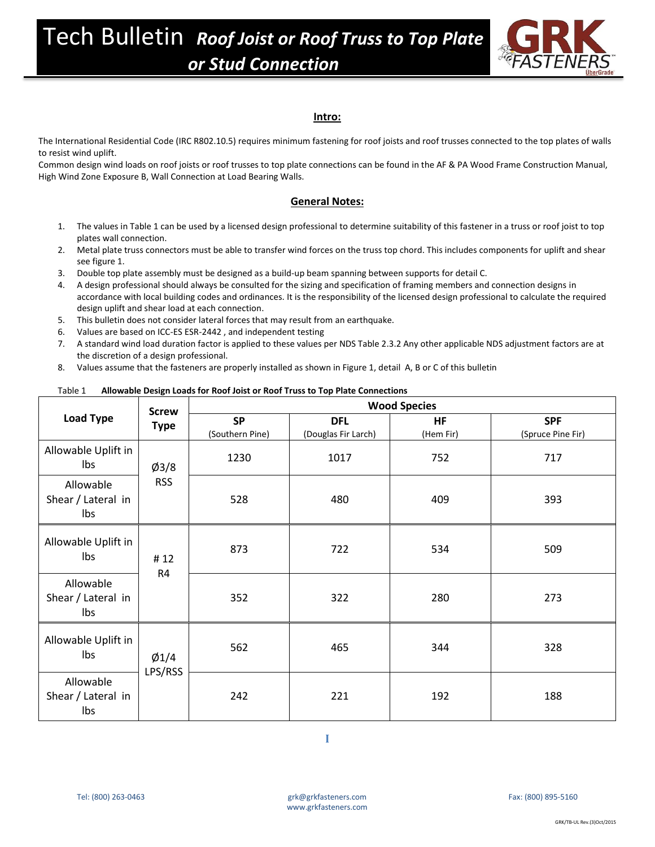

## **Intro:**

The International Residential Code (IRC R802.10.5) requires minimum fastening for roof joists and roof trusses connected to the top plates of walls to resist wind uplift.

Common design wind loads on roof joists or roof trusses to top plate connections can be found in the AF & PA Wood Frame Construction Manual, High Wind Zone Exposure B, Wall Connection at Load Bearing Walls.

## **General Notes:**

- 1. The values in Table 1 can be used by a licensed design professional to determine suitability of this fastener in a truss or roof joist to top plates wall connection.
- 2. Metal plate truss connectors must be able to transfer wind forces on the truss top chord. This includes components for uplift and shear see figure 1.
- 3. Double top plate assembly must be designed as a build-up beam spanning between supports for detail C.
- 4. A design professional should always be consulted for the sizing and specification of framing members and connection designs in accordance with local building codes and ordinances. It is the responsibility of the licensed design professional to calculate the required design uplift and shear load at each connection.
- 5. This bulletin does not consider lateral forces that may result from an earthquake.
- 6. Values are based on ICC-ES ESR-2442 , and independent testing
- 7. A standard wind load duration factor is applied to these values per NDS Table 2.3.2 Any other applicable NDS adjustment factors are at the discretion of a design professional.
- 8. Values assume that the fasteners are properly installed as shown in Figure 1, detail A, B or C of this bulletin

## Table 1 **Allowable Design Loads for Roof Joist or Roof Truss to Top Plate Connections Load Type Screw Type Wood Species SP** (Southern Pine) **DFL** (Douglas Fir Larch) **HF** (Hem Fir) **SPF** (Spruce Pine Fir) Allowable Uplift in  $\log$   $\frac{1}{93/8}$ RSS 1230 1017 752 717 Allowable Shear / Lateral in lbs 528 480 409 393 Allowable Uplift in  $\begin{array}{ccc} \n\text{lbs} & \text{# 12}\n\end{array}$ R4 873 722 534 509 Allowable Shear / Lateral in lbs 352 322 280 273 Allowable Uplift in  $\log$  |  $\varphi$ 1/4 LPS/RSS 562 465 344 328 Allowable Shear / Lateral in lbs 242 221 192 188